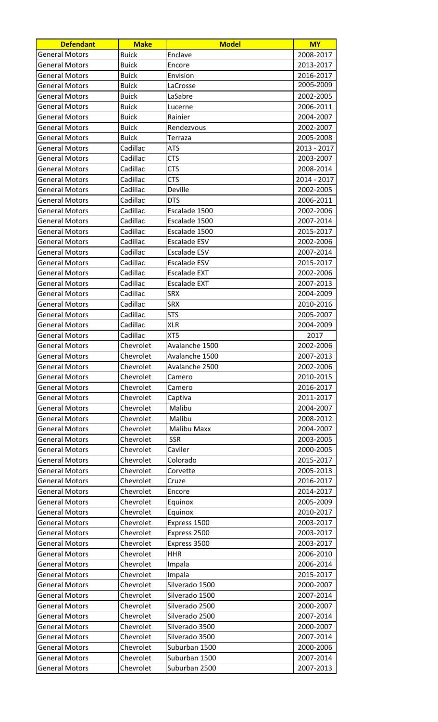| <b>Defendant</b>      | <b>Make</b>  | <b>Model</b>        | <b>MY</b>   |
|-----------------------|--------------|---------------------|-------------|
| <b>General Motors</b> | <b>Buick</b> | Enclave             | 2008-2017   |
| <b>General Motors</b> | <b>Buick</b> | Encore              | 2013-2017   |
| <b>General Motors</b> | <b>Buick</b> | Envision            | 2016-2017   |
| <b>General Motors</b> | <b>Buick</b> | LaCrosse            | 2005-2009   |
| <b>General Motors</b> | <b>Buick</b> | LaSabre             | 2002-2005   |
| <b>General Motors</b> | Buick        | Lucerne             | 2006-2011   |
| <b>General Motors</b> | <b>Buick</b> | Rainier             | 2004-2007   |
| General Motors        | <b>Buick</b> | Rendezvous          | 2002-2007   |
| <b>General Motors</b> | <b>Buick</b> | Terraza             | 2005-2008   |
| <b>General Motors</b> | Cadillac     | <b>ATS</b>          | 2013 - 2017 |
| <b>General Motors</b> | Cadillac     | <b>CTS</b>          | 2003-2007   |
| <b>General Motors</b> | Cadillac     | <b>CTS</b>          | 2008-2014   |
| General Motors        | Cadillac     | <b>CTS</b>          | 2014 - 2017 |
| <b>General Motors</b> | Cadillac     | Deville             | 2002-2005   |
| <b>General Motors</b> | Cadillac     | <b>DTS</b>          | 2006-2011   |
| <b>General Motors</b> | Cadillac     | Escalade 1500       | 2002-2006   |
| <b>General Motors</b> | Cadillac     | Escalade 1500       | 2007-2014   |
| <b>General Motors</b> | Cadillac     | Escalade 1500       | 2015-2017   |
| <b>General Motors</b> | Cadillac     | <b>Escalade ESV</b> | 2002-2006   |
| <b>General Motors</b> | Cadillac     | Escalade ESV        | 2007-2014   |
| <b>General Motors</b> | Cadillac     | <b>Escalade ESV</b> | 2015-2017   |
| <b>General Motors</b> | Cadillac     | <b>Escalade EXT</b> | 2002-2006   |
| General Motors        | Cadillac     | <b>Escalade EXT</b> | 2007-2013   |
| General Motors        | Cadillac     | <b>SRX</b>          | 2004-2009   |
| <b>General Motors</b> | Cadillac     | <b>SRX</b>          | 2010-2016   |
| <b>General Motors</b> | Cadillac     | <b>STS</b>          | 2005-2007   |
| General Motors        | Cadillac     | <b>XLR</b>          | 2004-2009   |
| <b>General Motors</b> | Cadillac     | XT5                 | 2017        |
| <b>General Motors</b> | Chevrolet    | Avalanche 1500      | 2002-2006   |
| <b>General Motors</b> | Chevrolet    | Avalanche 1500      | 2007-2013   |
| <b>General Motors</b> | Chevrolet    | Avalanche 2500      | 2002-2006   |
| <b>General Motors</b> | Chevrolet    | Camero              | 2010-2015   |
| <b>General Motors</b> | Chevrolet    | Camero              | 2016-2017   |
| <b>General Motors</b> | Chevrolet    | Captiva             | 2011-2017   |
| <b>General Motors</b> | Chevrolet    | Malibu              | 2004-2007   |
| <b>General Motors</b> | Chevrolet    | Malibu              | 2008-2012   |
| <b>General Motors</b> | Chevrolet    | <b>Malibu Maxx</b>  | 2004-2007   |
| <b>General Motors</b> | Chevrolet    | <b>SSR</b>          | 2003-2005   |
| <b>General Motors</b> | Chevrolet    | Caviler             | 2000-2005   |
| <b>General Motors</b> | Chevrolet    | Colorado            | 2015-2017   |
| <b>General Motors</b> | Chevrolet    | Corvette            | 2005-2013   |
| <b>General Motors</b> | Chevrolet    | Cruze               | 2016-2017   |
| <b>General Motors</b> | Chevrolet    | Encore              | 2014-2017   |
| <b>General Motors</b> | Chevrolet    | Equinox             | 2005-2009   |
| <b>General Motors</b> | Chevrolet    | Equinox             | 2010-2017   |
| <b>General Motors</b> | Chevrolet    | Express 1500        | 2003-2017   |
| <b>General Motors</b> | Chevrolet    | Express 2500        | 2003-2017   |
| <b>General Motors</b> | Chevrolet    | Express 3500        | 2003-2017   |
| <b>General Motors</b> | Chevrolet    | <b>HHR</b>          | 2006-2010   |
| <b>General Motors</b> | Chevrolet    | Impala              | 2006-2014   |
| <b>General Motors</b> | Chevrolet    | Impala              | 2015-2017   |
| <b>General Motors</b> | Chevrolet    | Silverado 1500      | 2000-2007   |
| <b>General Motors</b> | Chevrolet    | Silverado 1500      | 2007-2014   |
| <b>General Motors</b> | Chevrolet    | Silverado 2500      | 2000-2007   |
| <b>General Motors</b> | Chevrolet    | Silverado 2500      | 2007-2014   |
| <b>General Motors</b> | Chevrolet    | Silverado 3500      | 2000-2007   |
| <b>General Motors</b> | Chevrolet    | Silverado 3500      | 2007-2014   |
| <b>General Motors</b> | Chevrolet    | Suburban 1500       | 2000-2006   |
| <b>General Motors</b> | Chevrolet    | Suburban 1500       | 2007-2014   |
| <b>General Motors</b> | Chevrolet    | Suburban 2500       | 2007-2013   |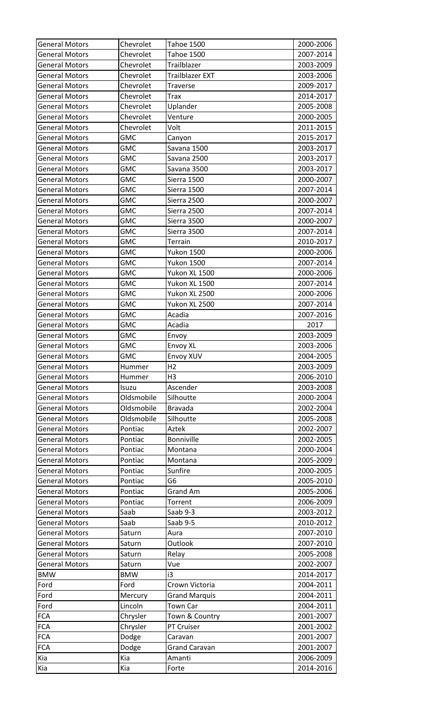| <b>General Motors</b>                          | Chevrolet                | <b>Tahoe 1500</b>           | 2000-2006              |
|------------------------------------------------|--------------------------|-----------------------------|------------------------|
| <b>General Motors</b>                          | Chevrolet                | <b>Tahoe 1500</b>           | 2007-2014              |
| <b>General Motors</b>                          | Chevrolet                | Trailblazer                 | 2003-2009              |
| <b>General Motors</b>                          | Chevrolet                | <b>Trailblazer EXT</b>      | 2003-2006              |
| <b>General Motors</b>                          | Chevrolet                | Traverse                    | 2009-2017              |
| <b>General Motors</b>                          | Chevrolet                | <b>Trax</b>                 | 2014-2017              |
| <b>General Motors</b>                          | Chevrolet                | Uplander                    | 2005-2008              |
| <b>General Motors</b>                          | Chevrolet                | Venture                     | 2000-2005              |
| <b>General Motors</b>                          | Chevrolet                | Volt                        | 2011-2015              |
| <b>General Motors</b>                          | <b>GMC</b>               | Canyon                      | 2015-2017              |
| <b>General Motors</b>                          | <b>GMC</b>               | Savana 1500                 | 2003-2017              |
| <b>General Motors</b>                          | <b>GMC</b>               | Savana 2500                 | 2003-2017              |
| <b>General Motors</b>                          | <b>GMC</b>               | Savana 3500                 | 2003-2017              |
| <b>General Motors</b>                          | <b>GMC</b>               | Sierra 1500                 | 2000-2007              |
| <b>General Motors</b>                          | <b>GMC</b>               | Sierra 1500                 | 2007-2014              |
| <b>General Motors</b>                          | <b>GMC</b>               | Sierra 2500                 | 2000-2007              |
| <b>General Motors</b>                          | <b>GMC</b>               | Sierra 2500                 | 2007-2014              |
| <b>General Motors</b>                          | <b>GMC</b>               | Sierra 3500                 | 2000-2007              |
| General Motors                                 | <b>GMC</b>               | Sierra 3500                 | 2007-2014              |
| <b>General Motors</b>                          | <b>GMC</b>               | Terrain                     | 2010-2017              |
| <b>General Motors</b>                          | <b>GMC</b>               | <b>Yukon 1500</b>           | 2000-2006              |
| <b>General Motors</b>                          | <b>GMC</b>               | <b>Yukon 1500</b>           | 2007-2014              |
| <b>General Motors</b>                          | <b>GMC</b>               | Yukon XL 1500               | 2000-2006              |
| <b>General Motors</b>                          | <b>GMC</b>               | Yukon XL 1500               | 2007-2014              |
| <b>General Motors</b>                          | <b>GMC</b>               | Yukon XL 2500               | 2000-2006              |
| <b>General Motors</b>                          | <b>GMC</b>               | Yukon XL 2500               | 2007-2014              |
| <b>General Motors</b>                          | <b>GMC</b>               | Acadia                      | 2007-2016              |
| <b>General Motors</b>                          | <b>GMC</b>               |                             | 2017                   |
|                                                | <b>GMC</b>               | Acadia                      |                        |
| <b>General Motors</b>                          |                          | Envoy                       | 2003-2009              |
| <b>General Motors</b><br><b>General Motors</b> | <b>GMC</b><br><b>GMC</b> | <b>Envoy XL</b>             | 2003-2006<br>2004-2005 |
|                                                |                          | Envoy XUV<br>H <sub>2</sub> |                        |
| <b>General Motors</b><br><b>General Motors</b> | Hummer                   |                             | 2003-2009<br>2006-2010 |
|                                                | Hummer                   | H <sub>3</sub>              |                        |
| <b>General Motors</b>                          | Isuzu                    | Ascender                    | 2003-2008              |
| <b>General Motors</b>                          | Oldsmobile               | Silhoutte                   | 2000-2004              |
| <b>General Motors</b>                          | Oldsmobile               | <b>Bravada</b>              | 2002-2004              |
| <b>General Motors</b>                          | Oldsmobile               | Silhoutte                   | 2005-2008              |
| <b>General Motors</b>                          | Pontiac                  | Aztek                       | 2002-2007              |
| <b>General Motors</b>                          | Pontiac                  | <b>Bonniville</b>           | 2002-2005              |
| <b>General Motors</b>                          | Pontiac                  | Montana                     | 2000-2004              |
| <b>General Motors</b>                          | Pontiac                  | Montana                     | 2005-2009              |
| <b>General Motors</b>                          | Pontiac                  | Sunfire                     | 2000-2005              |
| <b>General Motors</b>                          | Pontiac                  | G <sub>6</sub>              | 2005-2010              |
| <b>General Motors</b>                          | Pontiac                  | <b>Grand Am</b>             | 2005-2006              |
| <b>General Motors</b>                          | Pontiac                  | Torrent                     | 2006-2009              |
| <b>General Motors</b>                          | Saab                     | Saab 9-3                    | 2003-2012              |
| General Motors                                 | Saab                     | Saab 9-5                    | 2010-2012              |
| <b>General Motors</b>                          | Saturn                   | Aura                        | 2007-2010              |
| <b>General Motors</b>                          | Saturn                   | Outlook                     | 2007-2010              |
| <b>General Motors</b>                          | Saturn                   | Relay                       | 2005-2008              |
| <b>General Motors</b>                          | Saturn                   | Vue                         | 2002-2007              |
| <b>BMW</b>                                     | <b>BMW</b>               | i3                          | 2014-2017              |
| Ford                                           | Ford                     | Crown Victoria              | 2004-2011              |
| Ford                                           | Mercury                  | <b>Grand Marquis</b>        | 2004-2011              |
| Ford                                           | Lincoln                  | <b>Town Car</b>             | 2004-2011              |
| <b>FCA</b>                                     | Chrysler                 | Town & Country              | 2001-2007              |
| <b>FCA</b>                                     | Chrysler                 | PT Cruiser                  | 2001-2002              |
| <b>FCA</b>                                     | Dodge                    | Caravan                     | 2001-2007              |
| <b>FCA</b>                                     | Dodge                    | <b>Grand Caravan</b>        | 2001-2007              |
| Kia                                            | Kia                      | Amanti                      | 2006-2009              |
| Kia                                            | Kia                      | Forte                       | 2014-2016              |